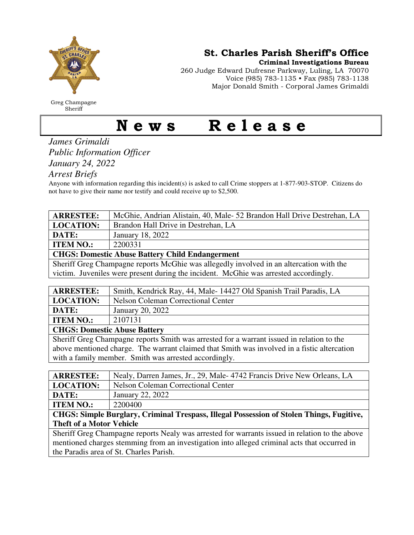

Greg Champagne Sheriff

St. Charles Parish Sheriff's Office

Criminal Investigations Bureau

260 Judge Edward Dufresne Parkway, Luling, LA 70070 Voice (985) 783-1135 • Fax (985) 783-1138 Major Donald Smith - Corporal James Grimaldi

## News Release

*James Grimaldi Public Information Officer January 24, 2022* 

*Arrest Briefs* 

Anyone with information regarding this incident(s) is asked to call Crime stoppers at 1-877-903-STOP. Citizens do not have to give their name nor testify and could receive up to \$2,500.

| <b>ARRESTEE:</b>                                                                        | McGhie, Andrian Alistain, 40, Male- 52 Brandon Hall Drive Destrehan, LA |  |
|-----------------------------------------------------------------------------------------|-------------------------------------------------------------------------|--|
| <b>LOCATION:</b>                                                                        | Brandon Hall Drive in Destrehan, LA                                     |  |
| DATE:                                                                                   | January 18, 2022                                                        |  |
| <b>ITEM NO.:</b>                                                                        | 2200331                                                                 |  |
| <b>CHGS: Domestic Abuse Battery Child Endangerment</b>                                  |                                                                         |  |
| Sheriff Greg Champagne reports McGhie was allegedly involved in an altercation with the |                                                                         |  |
| victim. Juveniles were present during the incident. McGhie was arrested accordingly.    |                                                                         |  |
|                                                                                         |                                                                         |  |
|                                                                                         |                                                                         |  |

| <b>ARRESTEE:</b>                    | Smith, Kendrick Ray, 44, Male-14427 Old Spanish Trail Paradis, LA |
|-------------------------------------|-------------------------------------------------------------------|
| <b>LOCATION:</b>                    | Nelson Coleman Correctional Center                                |
| DATE:                               | January 20, 2022                                                  |
| <b>ITEM NO.:</b>                    | 2107131                                                           |
| <b>CHGS: Domestic Abuse Battery</b> |                                                                   |

Sheriff Greg Champagne reports Smith was arrested for a warrant issued in relation to the above mentioned charge. The warrant claimed that Smith was involved in a fistic altercation with a family member. Smith was arrested accordingly.

| <b>ARRESTEE:</b>                                                                               | Nealy, Darren James, Jr., 29, Male-4742 Francis Drive New Orleans, LA |  |
|------------------------------------------------------------------------------------------------|-----------------------------------------------------------------------|--|
| <b>LOCATION:</b>                                                                               | <b>Nelson Coleman Correctional Center</b>                             |  |
| DATE:                                                                                          | January 22, 2022                                                      |  |
| <b>ITEM NO.:</b>                                                                               | 2200400                                                               |  |
| CHGS: Simple Burglary, Criminal Trespass, Illegal Possession of Stolen Things, Fugitive,       |                                                                       |  |
| <b>Theft of a Motor Vehicle</b>                                                                |                                                                       |  |
| Sheriff Greg Champagne reports Nealy was arrested for warrants issued in relation to the above |                                                                       |  |
| mentioned charges stemming from an investigation into alleged criminal acts that occurred in   |                                                                       |  |
| the Paradis area of St. Charles Parish.                                                        |                                                                       |  |